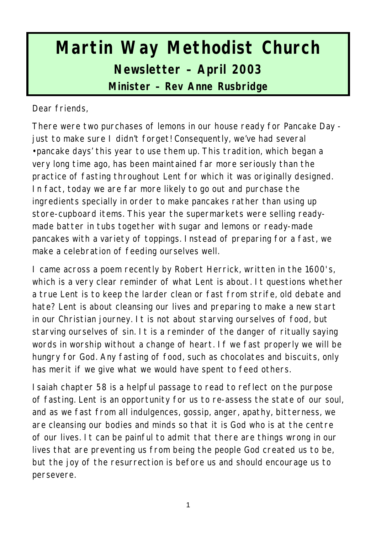# **Martin Way Methodist Church Newsletter – April 2003 Minister – Rev Anne Rusbridge**

Dear friends,

There were two purchases of lemons in our house ready for Pancake Day just to make sure I didn't forget! Consequently, we've had several •pancake days' this year to use them up. This tradition, which began a very long time ago, has been maintained far more seriously than the practice of fasting throughout Lent for which it was originally designed. In fact, today we are far more likely to go out and purchase the ingredients specially in order to make pancakes rather than using up store-cupboard items. This year the supermarkets were selling readymade batter in tubs together with sugar and lemons or ready-made pancakes with a variety of toppings. Instead of preparing for a fast, we make a celebration of feeding ourselves well.

I came across a poem recently by Robert Herrick, written in the 1600's, which is a very clear reminder of what Lent is about. It questions whether a true Lent is to keep the larder clean or fast from strife, old debate and hate? Lent is about cleansing our lives and preparing to make a new start in our Christian journey. It is not about starving ourselves of food, but starving ourselves of sin. It is a reminder of the danger of ritually saying words in worship without a change of heart. If we fast properly we will be hungry for God. Any fasting of food, such as chocolates and biscuits, only has merit if we give what we would have spent to feed others.

Isaiah chapter 58 is a helpful passage to read to reflect on the purpose of fasting. Lent is an opportunity for us to re-assess the state of our soul, and as we fast from all indulgences, gossip, anger, apathy, bitterness, we are cleansing our bodies and minds so that it is God who is at the centre of our lives. It can be painful to admit that there are things wrong in our lives that are preventing us from being the people God created us to be, but the joy of the resurrection is before us and should encourage us to persevere.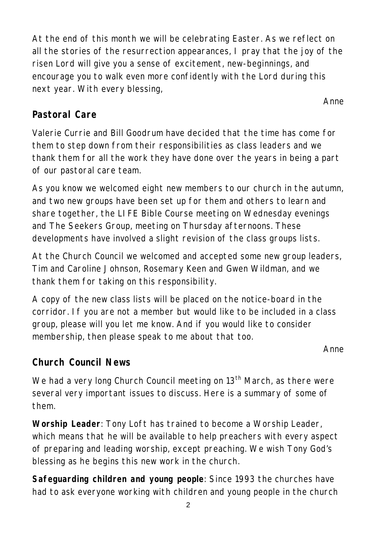At the end of this month we will be celebrating Easter. As we reflect on all the stories of the resurrection appearances, I pray that the joy of the risen Lord will give you a sense of excitement, new-beginnings, and encourage you to walk even more confidently with the Lord during this next year. With every blessing,

#### **Pastoral Care**

Valerie Currie and Bill Goodrum have decided that the time has come for them to step down from their responsibilities as class leaders and we thank them for all the work they have done over the years in being a part of our pastoral care team.

As you know we welcomed eight new members to our church in the autumn, and two new groups have been set up for them and others to learn and share together, the LIFE Bible Course meeting on Wednesday evenings and The Seekers Group, meeting on Thursday afternoons. These developments have involved a slight revision of the class groups lists.

At the Church Council we welcomed and accepted some new group leaders, Tim and Caroline Johnson, Rosemary Keen and Gwen Wildman, and we thank them for taking on this responsibility.

A copy of the new class lists will be placed on the notice-board in the corridor. If you are not a member but would like to be included in a class group, please will you let me know. And if you would like to consider membership, then please speak to me about that too.

*Anne*

*Anne*

# **Church Council News**

We had a very long Church Council meeting on  $13<sup>th</sup>$  March, as there were several very important issues to discuss. Here is a summary of some of them.

**Worship Leader**: Tony Loft has trained to become a Worship Leader, which means that he will be available to help preachers with every aspect of preparing and leading worship, except preaching. We wish Tony God's blessing as he begins this new work in the church.

**Safeguarding children and young people**: Since 1993 the churches have had to ask everyone working with children and young people in the church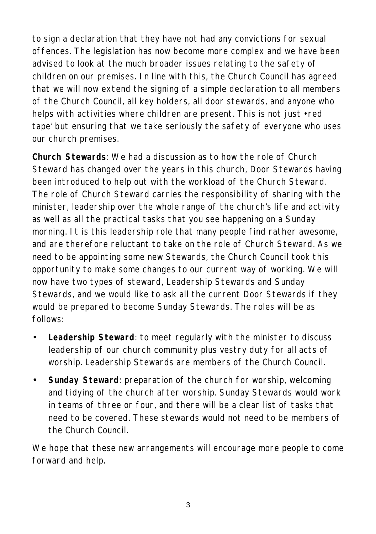to sign a declaration that they have not had any convictions for sexual offences. The legislation has now become more complex and we have been advised to look at the much broader issues relating to the safety of children on our premises. In line with this, the Church Council has agreed that we will now extend the signing of a simple declaration to all members of the Church Council, all key holders, all door stewards, and anyone who helps with activities where children are present. This is not just •red tape' but ensuring that we take seriously the safety of everyone who uses our church premises.

**Church Stewards**: We had a discussion as to how the role of Church Steward has changed over the years in this church, Door Stewards having been introduced to help out with the workload of the Church Steward. The role of Church Steward carries the responsibility of sharing with the minister, leadership over the whole range of the church's life and activity as well as all the practical tasks that you see happening on a Sunday morning. It is this leadership role that many people find rather awesome, and are therefore reluctant to take on the role of Church Steward. As we need to be appointing some new Stewards, the Church Council took this opportunity to make some changes to our current way of working. We will now have two types of steward, Leadership Stewards and Sunday Stewards, and we would like to ask all the current Door Stewards if they would be prepared to become Sunday Stewards. The roles will be as follows:

- **Leadership Steward**: to meet regularly with the minister to discuss leadership of our church community plus vestry duty for all acts of worship. Leadership Stewards are members of the Church Council.
- **Sunday Steward**: preparation of the church for worship, welcoming and tidying of the church after worship. Sunday Stewards would work in teams of three or four, and there will be a clear list of tasks that need to be covered. These stewards would not need to be members of the Church Council.

We hope that these new arrangements will encourage more people to come forward and help.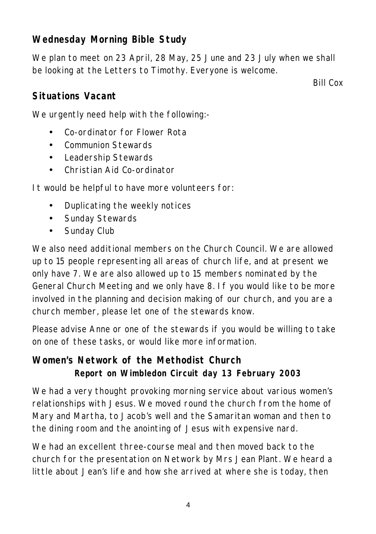# **Wednesday Morning Bible Study**

We plan to meet on 23 April, 28 May, 25 June and 23 July when we shall be looking at the Letters to Timothy. Everyone is welcome.

*Bill Cox*

#### **Situations Vacant**

We urgently need help with the following:-

- Co-ordinator for Flower Rota
- Communion Stewards
- Leadership Stewards
- Christian Aid Co-ordinator

It would be helpful to have more volunteers for:

- Duplicating the weekly notices
- Sunday Stewards
- Sunday Club

We also need additional members on the Church Council. We are allowed up to 15 people representing all areas of church life, and at present we only have 7. We are also allowed up to 15 members nominated by the General Church Meeting and we only have 8. If you would like to be more involved in the planning and decision making of our church, and you are a church member, please let one of the stewards know.

Please advise Anne or one of the stewards if you would be willing to take on one of these tasks, or would like more information.

## **Women's Network of the Methodist Church Report on Wimbledon Circuit day 13 February 2003**

We had a very thought provoking morning service about various women's relationships with Jesus. We moved round the church from the home of Mary and Martha, to Jacob's well and the Samaritan woman and then to the dining room and the anointing of Jesus with expensive nard.

We had an excellent three-course meal and then moved back to the church for the presentation on Network by Mrs Jean Plant. We heard a little about Jean's life and how she arrived at where she is today, then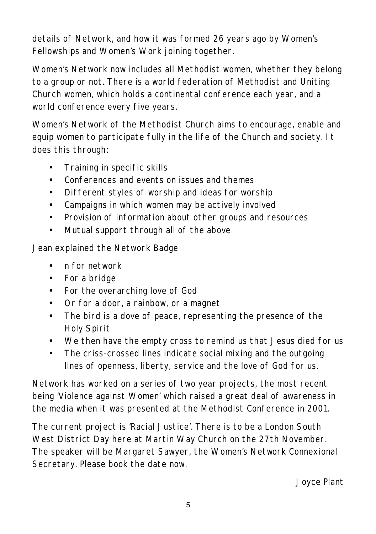details of Network, and how it was formed 26 years ago by Women's Fellowships and Women's Work joining together.

Women's Network now includes all Methodist women, whether they belong to a group or not. There is a world federation of Methodist and Uniting Church women, which holds a continental conference each year, and a world conference every five years.

Women's Network of the Methodist Church aims to encourage, enable and equip women to participate fully in the life of the Church and society. It does this through:

- Training in specific skills
- Conferences and events on issues and themes
- Different styles of worship and ideas for worship
- Campaigns in which women may be actively involved
- Provision of information about other groups and resources
- Mutual support through all of the above

Jean explained the Network Badge

- n for network
- For a bridge
- For the overarching love of God
- Or for a door, a rainbow, or a magnet
- The bird is a dove of peace, representing the presence of the Holy Spirit
- We then have the empty cross to remind us that Jesus died for us
- The criss-crossed lines indicate social mixing and the outgoing lines of openness, liberty, service and the love of God for us.

Network has worked on a series of two year projects, the most recent being 'Violence against Women' which raised a great deal of awareness in the media when it was presented at the Methodist Conference in 2001.

The current project is 'Racial Justice'. There is to be a London South West District Day here at Martin Way Church on the 27th November. The speaker will be Margaret Sawyer, the Women's Network Connexional Secretary. Please book the date now.

*Joyce Plant*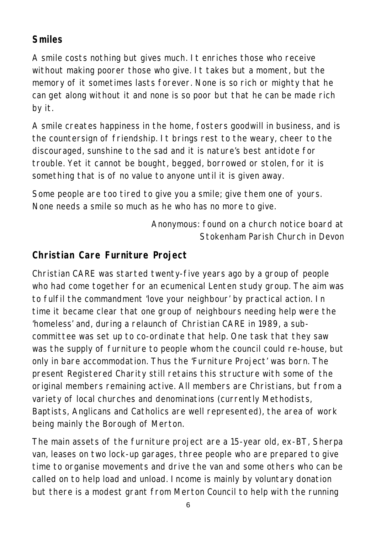# **Smiles**

A smile costs nothing but gives much. It enriches those who receive without making poorer those who give. It takes but a moment, but the memory of it sometimes lasts forever. None is so rich or mighty that he can get along without it and none is so poor but that he can be made rich by it.

A smile creates happiness in the home, fosters goodwill in business, and is the countersign of friendship. It brings rest to the weary, cheer to the discouraged, sunshine to the sad and it is nature's best antidote for trouble. Yet it cannot be bought, begged, borrowed or stolen, for it is something that is of no value to anyone until it is given away.

Some people are too tired to give you a smile; give them one of yours. None needs a smile so much as he who has no more to give.

> *Anonymous: found on a church notice board at Stokenham Parish Church in Devon*

# **Christian Care Furniture Project**

Christian CARE was started twenty-five years ago by a group of people who had come together for an ecumenical Lenten study group. The aim was to fulfil the commandment 'love your neighbour' by practical action. In time it became clear that one group of neighbours needing help were the 'homeless' and, during a relaunch of Christian CARE in 1989, a subcommittee was set up to co-ordinate that help. One task that they saw was the supply of furniture to people whom the council could re-house, but only in bare accommodation. Thus the 'Furniture Project' was born. The present Registered Charity still retains this structure with some of the original members remaining active. All members are Christians, but from a variety of local churches and denominations (currently Methodists, Baptists, Anglicans and Catholics are well represented), the area of work being mainly the Borough of Merton.

The main assets of the furniture project are a 15-year old, ex-BT, Sherpa van, leases on two lock-up garages, three people who are prepared to give time to organise movements and drive the van and some others who can be called on to help load and unload. Income is mainly by voluntary donation but there is a modest grant from Merton Council to help with the running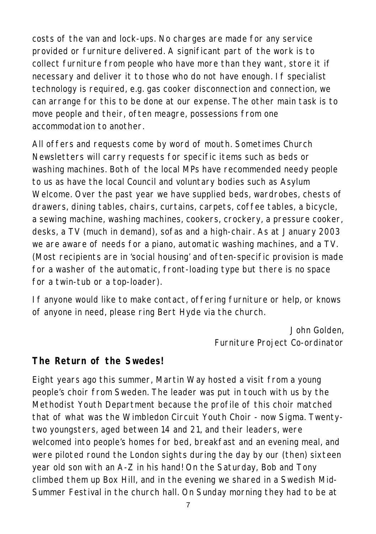costs of the van and lock-ups. No charges are made for any service provided or furniture delivered. A significant part of the work is to collect furniture from people who have more than they want, store it if necessary and deliver it to those who do not have enough. If specialist technology is required, e.g. gas cooker disconnection and connection, we can arrange for this to be done at our expense. The other main task is to move people and their, often meagre, possessions from one accommodation to another.

All offers and requests come by word of mouth. Sometimes Church Newsletters will carry requests for specific items such as beds or washing machines. Both of the local MPs have recommended needy people to us as have the local Council and voluntary bodies such as Asylum Welcome. Over the past year we have supplied beds, wardrobes, chests of drawers, dining tables, chairs, curtains, carpets, coffee tables, a bicycle, a sewing machine, washing machines, cookers, crockery, a pressure cooker, desks, a TV (much in demand), sofas and a high-chair. As at January 2003 we are aware of needs for a piano, automatic washing machines, and a TV. (Most recipients are in 'social housing' and often-specific provision is made for a washer of the automatic, front-loading type but there is no space for a twin-tub or a top-loader).

If anyone would like to make contact, offering furniture or help, or knows of anyone in need, please ring Bert Hyde via the church.

> *John Golden, Furniture Project Co-ordinator*

#### **The Return of the Swedes!**

Eight years ago this summer, Martin Way hosted a visit from a young people's choir from Sweden. The leader was put in touch with us by the Methodist Youth Department because the profile of this choir matched that of what was the Wimbledon Circuit Youth Choir - now Sigma. Twentytwo youngsters, aged between 14 and 21, and their leaders, were welcomed into people's homes for bed, breakfast and an evening meal, and were piloted round the London sights during the day by our (then) sixteen year old son with an A-Z in his hand! On the Saturday, Bob and Tony climbed them up Box Hill, and in the evening we shared in a Swedish Mid-Summer Festival in the church hall. On Sunday morning they had to be at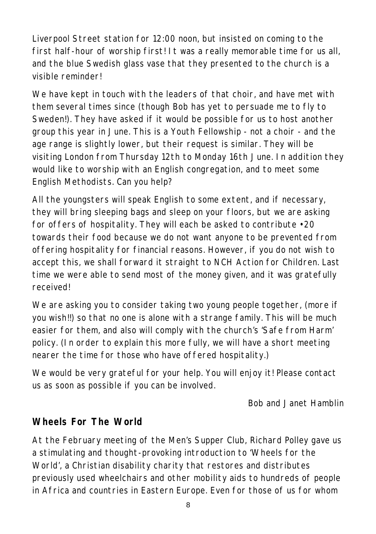Liverpool Street station for 12:00 noon, but insisted on coming to the first half-hour of worship first! It was a really memorable time for us all, and the blue Swedish glass vase that they presented to the church is a visible reminder!

We have kept in touch with the leaders of that choir, and have met with them several times since (though Bob has yet to persuade me to fly to Sweden!). They have asked if it would be possible for us to host another group this year in June. This is a Youth Fellowship - not a choir - and the age range is slightly lower, but their request is similar. They will be visiting London from Thursday 12th to Monday 16th June. In addition they would like to worship with an English congregation, and to meet some English Methodists. Can you help?

All the youngsters will speak English to some extent, and if necessary, they will bring sleeping bags and sleep on your floors, but we are asking for offers of hospitality. They will each be asked to contribute •20 towards their food because we do not want anyone to be prevented from offering hospitality for financial reasons. However, if you do not wish to accept this, we shall forward it straight to NCH Action for Children. Last time we were able to send most of the money given, and it was gratefully received!

We are asking you to consider taking two young people together, (more if you wish!!) so that no one is alone with a strange family. This will be much easier for them, and also will comply with the church's 'Safe from Harm' policy. (In order to explain this more fully, we will have a short meeting nearer the time for those who have offered hospitality.)

We would be very grateful for your help. You will enjoy it! Please contact us as soon as possible if you can be involved.

*Bob and Janet Hamblin*

# **Wheels For The World**

At the February meeting of the Men's Supper Club, Richard Polley gave us a stimulating and thought-provoking introduction to 'Wheels for the World', a Christian disability charity that restores and distributes previously used wheelchairs and other mobility aids to hundreds of people in Africa and countries in Eastern Europe. Even for those of us for whom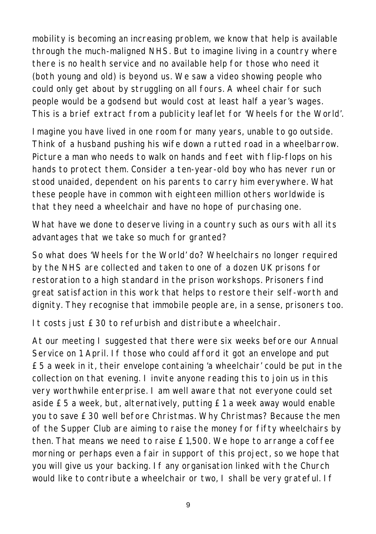mobility is becoming an increasing problem, we know that help is available through the much-maligned NHS. But to imagine living in a country where there is no health service and no available help for those who need it (both young and old) is beyond us. We saw a video showing people who could only get about by struggling on all fours. A wheel chair for such people would be a godsend but would cost at least half a year's wages. This is a brief extract from a publicity leaflet for 'Wheels for the World'.

Imagine you have lived in one room for many years, unable to go outside. Think of a husband pushing his wife down a rutted road in a wheelbarrow. Picture a man who needs to walk on hands and feet with flip-flops on his hands to protect them. Consider a ten-year-old boy who has never run or stood unaided, dependent on his parents to carry him everywhere. What these people have in common with eighteen million others worldwide is that they need a wheelchair and have no hope of purchasing one.

What have we done to deserve living in a country such as ours with all its advantages that we take so much for granted?

So what does 'Wheels for the World' do? Wheelchairs no longer required by the NHS are collected and taken to one of a dozen UK prisons for restoration to a high standard in the prison workshops. Prisoners find great satisfaction in this work that helps to restore their self-worth and dignity. They recognise that immobile people are, in a sense, prisoners too.

It costs just £30 to refurbish and distribute a wheelchair.

At our meeting I suggested that there were six weeks before our Annual Service on 1 April. If those who could afford it got an envelope and put £5 a week in it, their envelope containing 'a wheelchair' could be put in the collection on that evening. I invite anyone reading this to join us in this very worthwhile enterprise. I am well aware that not everyone could set aside £5 a week, but, alternatively, putting £1 a week away would enable you to save £30 well before Christmas. Why Christmas? Because the men of the Supper Club are aiming to raise the money for fifty wheelchairs by then. That means we need to raise £1,500. We hope to arrange a coffee morning or perhaps even a fair in support of this project, so we hope that you will give us your backing. If any organisation linked with the Church would like to contribute a wheelchair or two, I shall be very grateful. If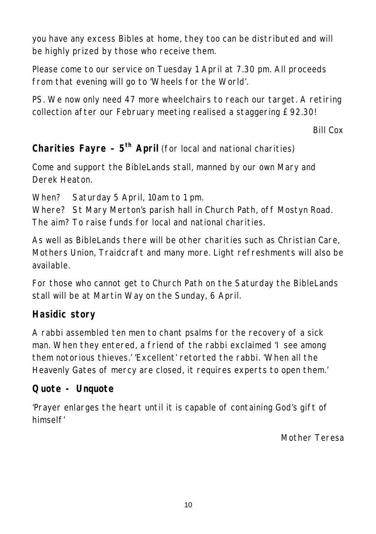you have any excess Bibles at home, they too can be distributed and will be highly prized by those who receive them.

Please come to our service on Tuesday 1 April at 7.30 pm. All proceeds from that evening will go to 'Wheels for the World'.

PS. We now only need 47 more wheelchairs to reach our target. A retiring collection after our February meeting realised a staggering £92.30!

*Bill Cox*

**Charities Fayre – 5th April** (for local and national charities)

Come and support the BibleLands stall, manned by our own Mary and Derek Heaton.

When? Saturday 5 April, 10am to 1 pm.

Where? St Mary Merton's parish hall in Church Path, off Mostyn Road. The aim? To raise funds for local and national charities.

As well as BibleLands there will be other charities such as Christian Care, Mothers Union, Traidcraft and many more. Light refreshments will also be available.

For those who cannot get to Church Path on the Saturday the BibleLands stall will be at Martin Way on the Sunday, 6 April.

#### **Hasidic story**

A rabbi assembled ten men to chant psalms for the recovery of a sick man. When they entered, a friend of the rabbi exclaimed 'I see among them notorious thieves.' 'Excellent' retorted the rabbi. 'When all the Heavenly Gates of mercy are closed, it requires experts to open them.'

#### **Quote - Unquote**

'Prayer enlarges the heart until it is capable of containing God's gift of himself'

*Mother Teresa*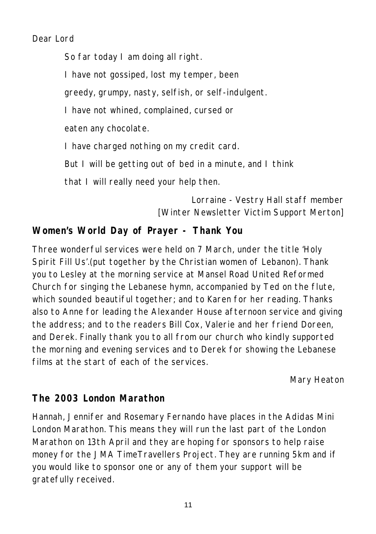*Dear Lord*

*So far today I am doing all right.*

*I have not gossiped, lost my temper, been*

*greedy, grumpy, nasty, selfish, or self-indulgent.* 

*I have not whined, complained, cursed or*

*eaten any chocolate.* 

*I have charged nothing on my credit card.*

*But I will be getting out of bed in a minute, and I think*

*that I will really need your help then.*

*Lorraine - Vestry Hall staff member [Winter Newsletter Victim Support Merton]*

#### **Women's World Day of Prayer - Thank You**

Three wonderful services were held on 7 March, under the title 'Holy Spirit Fill Us'.(put together by the Christian women of Lebanon). Thank you to Lesley at the morning service at Mansel Road United Reformed Church for singing the Lebanese hymn, accompanied by Ted on the flute, which sounded beautiful together; and to Karen for her reading. Thanks also to Anne for leading the Alexander House afternoon service and giving the address; and to the readers Bill Cox, Valerie and her friend Doreen, and Derek. Finally thank you to all from our church who kindly supported the morning and evening services and to Derek for showing the Lebanese films at the start of each of the services.

*Mary Heaton*

#### **The 2003 London Marathon**

Hannah, Jennifer and Rosemary Fernando have places in the Adidas Mini London Marathon. This means they will run the last part of the London Marathon on 13th April and they are hoping for sponsors to help raise money for the JMA TimeTravellers Project. They are running 5km and if you would like to sponsor one or any of them your support will be gratefully received.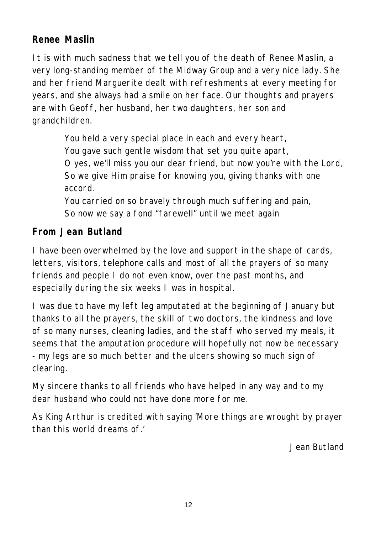# **Renee Maslin**

It is with much sadness that we tell you of the death of Renee Maslin, a very long-standing member of the Midway Group and a very nice lady. She and her friend Marguerite dealt with refreshments at every meeting for years, and she always had a smile on her face. Our thoughts and prayers are with Geoff, her husband, her two daughters, her son and grandchildren.

> *You held a very special place in each and every heart, You gave such gentle wisdom that set you quite apart, O yes, we'll miss you our dear friend, but now you're with the Lord, So we give Him praise for knowing you, giving thanks with one accord. You carried on so bravely through much suffering and pain, So now we say a fond "farewell" until we meet again*

#### **From Jean Butland**

I have been overwhelmed by the love and support in the shape of cards, letters, visitors, telephone calls and most of all the prayers of so many friends and people I do not even know, over the past months, and especially during the six weeks I was in hospital.

I was due to have my left leg amputated at the beginning of January but thanks to all the prayers, the skill of two doctors, the kindness and love of so many nurses, cleaning ladies, and the staff who served my meals, it seems that the amputation procedure will hopefully not now be necessary - my legs are so much better and the ulcers showing so much sign of clearing.

My sincere thanks to all friends who have helped in any way and to my dear husband who could not have done more for me.

As King Arthur is credited with saying 'More things are wrought by prayer than this world dreams of.'

*Jean Butland*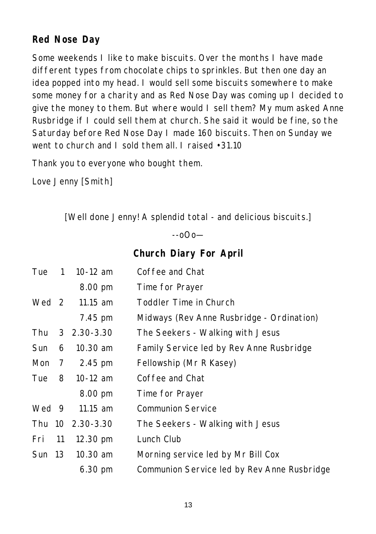## **Red Nose Day**

Some weekends I like to make biscuits. Over the months I have made different types from chocolate chips to sprinkles. But then one day an idea popped into my head. I would sell some biscuits somewhere to make some money for a charity and as Red Nose Day was coming up I decided to give the money to them. But where would I sell them? My mum asked Anne Rusbridge if I could sell them at church. She said it would be fine, so the Saturday before Red Nose Day I made 160 biscuits. Then on Sunday we went to church and I sold them all. I raised •31.10

Thank you to everyone who bought them.

Love Jenny [Smith]

*[Well done Jenny! A splendid total - and delicious biscuits.]*

 $-0$  $0$  $-$ 

**Church Diary For April**

| Tue    | $\mathbf{1}$   | 10-12 $am$           | Coffee and Chat                             |
|--------|----------------|----------------------|---------------------------------------------|
|        |                | 8.00 pm              | Time for Prayer                             |
| Wed 2  |                | 11.15 $am$           | Toddler Time in Church                      |
|        |                | 7.45 pm              | Midways (Rev Anne Rusbridge - Ordination)   |
| Thu    |                | $3\quad 2.30 - 3.30$ | The Seekers - Walking with Jesus            |
| Sun    | 6              | $10.30$ am           | Family Service led by Rev Anne Rusbridge    |
| Mon    | $\overline{7}$ | 2.45 pm              | Fellowship (Mr R Kasey)                     |
| Tue    | 8              | 10-12 $am$           | Coffee and Chat                             |
|        |                | 8.00 pm              | Time for Prayer                             |
| Wed 9  |                | $11.15$ am           | <b>Communion Service</b>                    |
|        |                | Thu 10 2.30-3.30     | The Seekers - Walking with Jesus            |
| Fri    | 11             | $12.30 \text{ pm}$   | Lunch Club                                  |
| Sun 13 |                | $10.30$ am           | Morning service led by Mr Bill Cox          |
|        |                | 6.30 pm              | Communion Service led by Rev Anne Rusbridge |